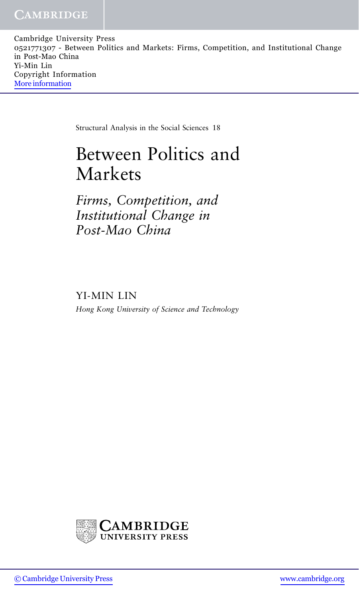Cambridge University Press 0521771307 - Between Politics and Markets: Firms, Competition, and Institutional Change in Post-Mao China Yi-Min Lin Copyright Information [More information](http://www.cambridge.org/0521771307)

Structural Analysis in the Social Sciences 18

## Between Politics and Markets

*Firms, Competition, and Institutional Change in Post-Mao China*

YI-MIN LIN *Hong Kong University of Science and Technology*